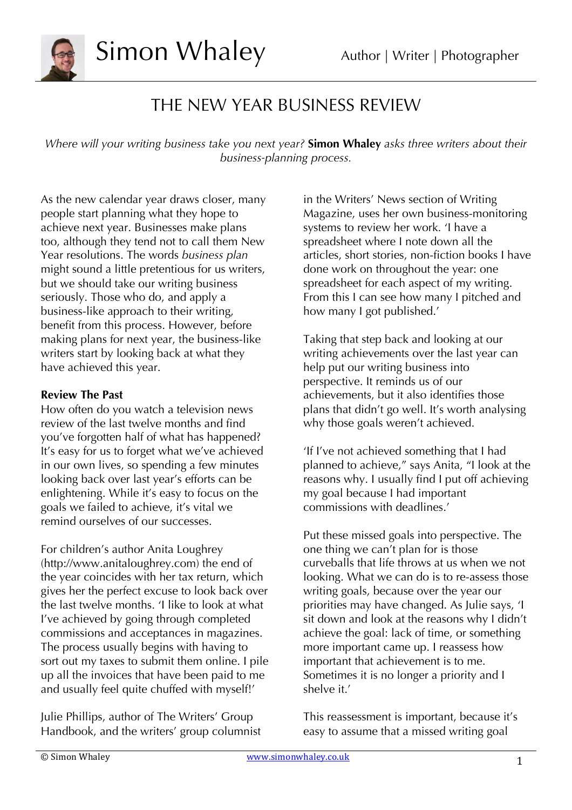

### THE NEW YEAR BUSINESS REVIEW

*Where will your writing business take you next year?* **Simon Whaley** *asks three writers about their business-planning process.*

As the new calendar year draws closer, many people start planning what they hope to achieve next year. Businesses make plans too, although they tend not to call them New Year resolutions. The words *business plan* might sound a little pretentious for us writers, but we should take our writing business seriously. Those who do, and apply a business-like approach to their writing, benefit from this process. However, before making plans for next year, the business-like writers start by looking back at what they have achieved this year.

#### **Review The Past**

How often do you watch a television news review of the last twelve months and find you've forgotten half of what has happened? It's easy for us to forget what we've achieved in our own lives, so spending a few minutes looking back over last year's efforts can be enlightening. While it's easy to focus on the goals we failed to achieve, it's vital we remind ourselves of our successes.

For children's author Anita Loughrey (http://www.anitaloughrey.com) the end of the year coincides with her tax return, which gives her the perfect excuse to look back over the last twelve months. 'I like to look at what I've achieved by going through completed commissions and acceptances in magazines. The process usually begins with having to sort out my taxes to submit them online. I pile up all the invoices that have been paid to me and usually feel quite chuffed with myself!'

Julie Phillips, author of The Writers' Group Handbook, and the writers' group columnist

in the Writers' News section of Writing Magazine, uses her own business-monitoring systems to review her work. 'I have a spreadsheet where I note down all the articles, short stories, non-fiction books I have done work on throughout the year: one spreadsheet for each aspect of my writing. From this I can see how many I pitched and how many I got published.'

Taking that step back and looking at our writing achievements over the last year can help put our writing business into perspective. It reminds us of our achievements, but it also identifies those plans that didn't go well. It's worth analysing why those goals weren't achieved.

'If I've not achieved something that I had planned to achieve," says Anita, "I look at the reasons why. I usually find I put off achieving my goal because I had important commissions with deadlines.'

Put these missed goals into perspective. The one thing we can't plan for is those curveballs that life throws at us when we not looking. What we can do is to re-assess those writing goals, because over the year our priorities may have changed. As Julie says, 'I sit down and look at the reasons why I didn't achieve the goal: lack of time, or something more important came up. I reassess how important that achievement is to me. Sometimes it is no longer a priority and I shelve it.'

This reassessment is important, because it's easy to assume that a missed writing goal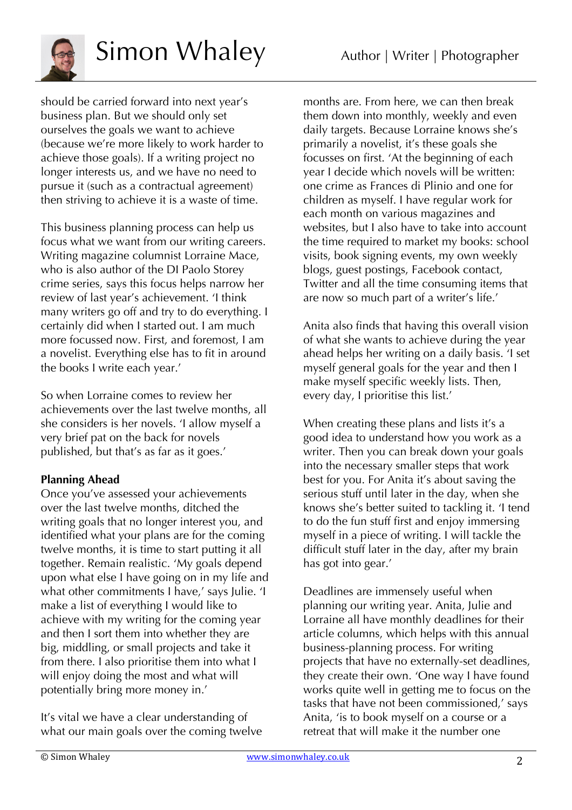

# Simon Whaley Author | Writer | Photographer

should be carried forward into next year's business plan. But we should only set ourselves the goals we want to achieve (because we're more likely to work harder to achieve those goals). If a writing project no longer interests us, and we have no need to pursue it (such as a contractual agreement) then striving to achieve it is a waste of time.

This business planning process can help us focus what we want from our writing careers. Writing magazine columnist Lorraine Mace, who is also author of the DI Paolo Storey crime series, says this focus helps narrow her review of last year's achievement. 'I think many writers go off and try to do everything. I certainly did when I started out. I am much more focussed now. First, and foremost, I am a novelist. Everything else has to fit in around the books I write each year.'

So when Lorraine comes to review her achievements over the last twelve months, all she considers is her novels. 'I allow myself a very brief pat on the back for novels published, but that's as far as it goes.'

### **Planning Ahead**

Once you've assessed your achievements over the last twelve months, ditched the writing goals that no longer interest you, and identified what your plans are for the coming twelve months, it is time to start putting it all together. Remain realistic. 'My goals depend upon what else I have going on in my life and what other commitments I have,' says Julie. 'I make a list of everything I would like to achieve with my writing for the coming year and then I sort them into whether they are big, middling, or small projects and take it from there. I also prioritise them into what I will enjoy doing the most and what will potentially bring more money in.'

It's vital we have a clear understanding of what our main goals over the coming twelve

months are. From here, we can then break them down into monthly, weekly and even daily targets. Because Lorraine knows she's primarily a novelist, it's these goals she focusses on first. 'At the beginning of each year I decide which novels will be written: one crime as Frances di Plinio and one for children as myself. I have regular work for each month on various magazines and websites, but I also have to take into account the time required to market my books: school visits, book signing events, my own weekly blogs, guest postings, Facebook contact, Twitter and all the time consuming items that are now so much part of a writer's life.'

Anita also finds that having this overall vision of what she wants to achieve during the year ahead helps her writing on a daily basis. 'I set myself general goals for the year and then I make myself specific weekly lists. Then, every day, I prioritise this list.'

When creating these plans and lists it's a good idea to understand how you work as a writer. Then you can break down your goals into the necessary smaller steps that work best for you. For Anita it's about saving the serious stuff until later in the day, when she knows she's better suited to tackling it. 'I tend to do the fun stuff first and enjoy immersing myself in a piece of writing. I will tackle the difficult stuff later in the day, after my brain has got into gear.'

Deadlines are immensely useful when planning our writing year. Anita, Julie and Lorraine all have monthly deadlines for their article columns, which helps with this annual business-planning process. For writing projects that have no externally-set deadlines, they create their own. 'One way I have found works quite well in getting me to focus on the tasks that have not been commissioned,' says Anita, 'is to book myself on a course or a retreat that will make it the number one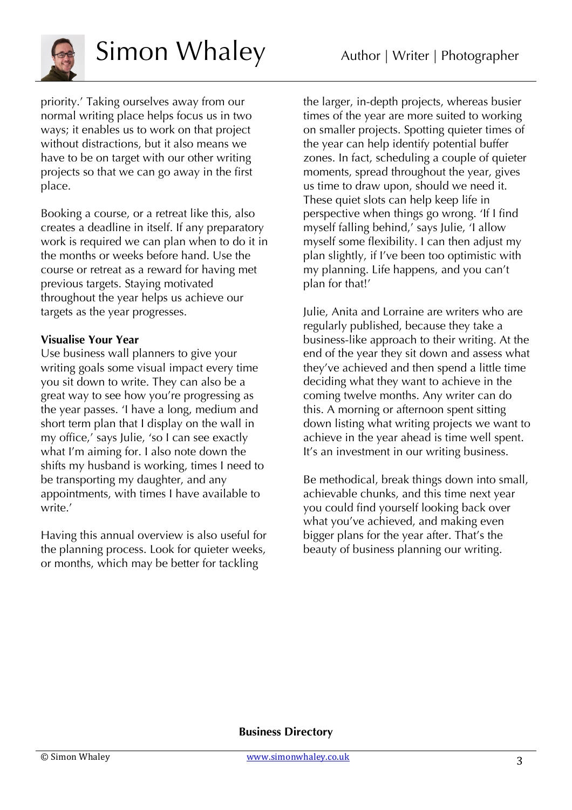

# Simon Whaley Author | Writer | Photographer

priority.' Taking ourselves away from our normal writing place helps focus us in two ways; it enables us to work on that project without distractions, but it also means we have to be on target with our other writing projects so that we can go away in the first place.

Booking a course, or a retreat like this, also creates a deadline in itself. If any preparatory work is required we can plan when to do it in the months or weeks before hand. Use the course or retreat as a reward for having met previous targets. Staying motivated throughout the year helps us achieve our targets as the year progresses.

#### **Visualise Your Year**

Use business wall planners to give your writing goals some visual impact every time you sit down to write. They can also be a great way to see how you're progressing as the year passes. 'I have a long, medium and short term plan that I display on the wall in my office,' says Julie, 'so I can see exactly what I'm aiming for. I also note down the shifts my husband is working, times I need to be transporting my daughter, and any appointments, with times I have available to write.'

Having this annual overview is also useful for the planning process. Look for quieter weeks, or months, which may be better for tackling

the larger, in-depth projects, whereas busier times of the year are more suited to working on smaller projects. Spotting quieter times of the year can help identify potential buffer zones. In fact, scheduling a couple of quieter moments, spread throughout the year, gives us time to draw upon, should we need it. These quiet slots can help keep life in perspective when things go wrong. 'If I find myself falling behind,' says Julie, 'I allow myself some flexibility. I can then adjust my plan slightly, if I've been too optimistic with my planning. Life happens, and you can't plan for that!'

Julie, Anita and Lorraine are writers who are regularly published, because they take a business-like approach to their writing. At the end of the year they sit down and assess what they've achieved and then spend a little time deciding what they want to achieve in the coming twelve months. Any writer can do this. A morning or afternoon spent sitting down listing what writing projects we want to achieve in the year ahead is time well spent. It's an investment in our writing business.

Be methodical, break things down into small, achievable chunks, and this time next year you could find yourself looking back over what you've achieved, and making even bigger plans for the year after. That's the beauty of business planning our writing.